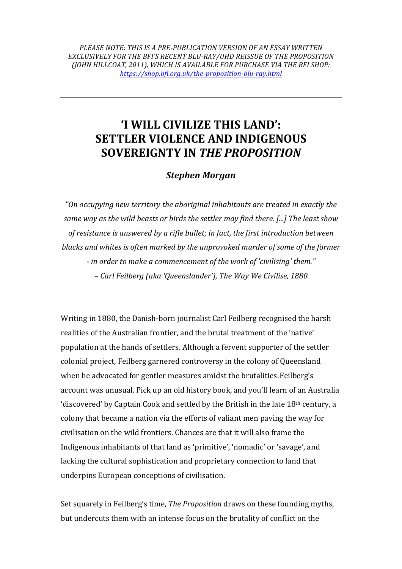PLEASE NOTE: THIS IS A PRE-PUBLICATION VERSION OF AN ESSAY WRITTEN EXCLUSIVELY FOR THE BFI'S RECENT BLU-RAY/UHD REISSUE OF THE PROPOSITION *(JOHN HILLCOAT, 2011), WHICH IS AVAILABLE FOR PURCHASE VIA THE BFI SHOP: https://shop.bfi.org.uk/the-proposition-blu-ray.html*

## **T WILL CIVILIZE THIS LAND': SETTLER VIOLENCE AND INDIGENOUS SOVEREIGNTY IN** *THE PROPOSITION*

## *Stephen Morgan*

"On occupying new territory the aboriginal inhabitants are treated in exactly the same way as the wild beasts or birds the settler may find there. [...] The least show of resistance is answered by a rifle bullet; in fact, the first introduction between *blacks and whites is often marked by the unprovoked murder of some of the former* - *in order to make a commencement of the work of 'civilising' them." – Carl Feilberg (aka 'Queenslander'), The Way We Civilise, 1880*

Writing in 1880, the Danish-born journalist Carl Feilberg recognised the harsh realities of the Australian frontier, and the brutal treatment of the 'native' population at the hands of settlers. Although a fervent supporter of the settler colonial project, Feilberg garnered controversy in the colony of Queensland when he advocated for gentler measures amidst the brutalities. Feilberg's account was unusual. Pick up an old history book, and you'll learn of an Australia 'discovered' by Captain Cook and settled by the British in the late 18<sup>th</sup> century, a colony that became a nation via the efforts of valiant men paving the way for civilisation on the wild frontiers. Chances are that it will also frame the Indigenous inhabitants of that land as 'primitive', 'nomadic' or 'savage', and lacking the cultural sophistication and proprietary connection to land that underpins European conceptions of civilisation.

Set squarely in Feilberg's time, *The Proposition* draws on these founding myths, but undercuts them with an intense focus on the brutality of conflict on the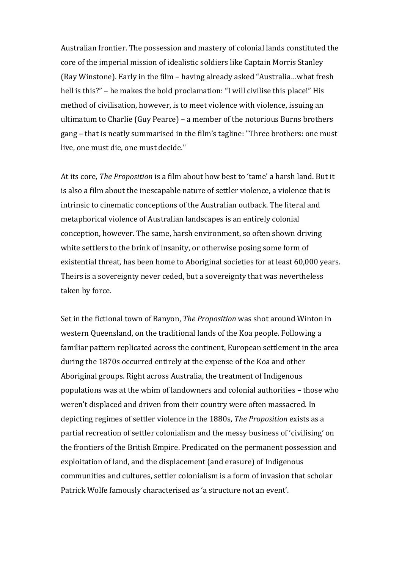Australian frontier. The possession and mastery of colonial lands constituted the core of the imperial mission of idealistic soldiers like Captain Morris Stanley (Ray Winstone). Early in the film – having already asked "Australia...what fresh hell is this?" – he makes the bold proclamation: "I will civilise this place!" His method of civilisation, however, is to meet violence with violence, issuing an ultimatum to Charlie (Guy Pearce) – a member of the notorious Burns brothers gang – that is neatly summarised in the film's tagline: "Three brothers: one must live, one must die, one must decide."

At its core, *The Proposition* is a film about how best to 'tame' a harsh land. But it is also a film about the inescapable nature of settler violence, a violence that is intrinsic to cinematic conceptions of the Australian outback. The literal and metaphorical violence of Australian landscapes is an entirely colonial conception, however. The same, harsh environment, so often shown driving white settlers to the brink of insanity, or otherwise posing some form of existential threat, has been home to Aboriginal societies for at least 60,000 years. Theirs is a sovereignty never ceded, but a sovereignty that was nevertheless taken by force.

Set in the fictional town of Banyon, *The Proposition* was shot around Winton in western Queensland, on the traditional lands of the Koa people. Following a familiar pattern replicated across the continent, European settlement in the area during the 1870s occurred entirely at the expense of the Koa and other Aboriginal groups. Right across Australia, the treatment of Indigenous populations was at the whim of landowners and colonial authorities – those who weren't displaced and driven from their country were often massacred. In depicting regimes of settler violence in the 1880s, *The Proposition* exists as a partial recreation of settler colonialism and the messy business of 'civilising' on the frontiers of the British Empire. Predicated on the permanent possession and exploitation of land, and the displacement (and erasure) of Indigenous communities and cultures, settler colonialism is a form of invasion that scholar Patrick Wolfe famously characterised as 'a structure not an event'.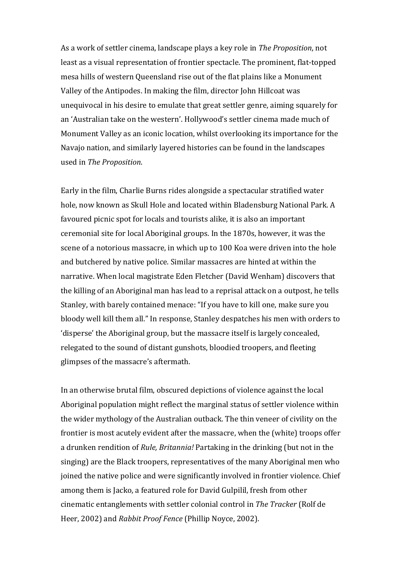As a work of settler cinema, landscape plays a key role in *The Proposition*, not least as a visual representation of frontier spectacle. The prominent, flat-topped mesa hills of western Queensland rise out of the flat plains like a Monument Valley of the Antipodes. In making the film, director John Hillcoat was unequivocal in his desire to emulate that great settler genre, aiming squarely for an 'Australian take on the western'. Hollywood's settler cinema made much of Monument Valley as an iconic location, whilst overlooking its importance for the Navajo nation, and similarly layered histories can be found in the landscapes used in *The Proposition*.

Early in the film, Charlie Burns rides alongside a spectacular stratified water hole, now known as Skull Hole and located within Bladensburg National Park. A favoured picnic spot for locals and tourists alike, it is also an important ceremonial site for local Aboriginal groups. In the 1870s, however, it was the scene of a notorious massacre, in which up to 100 Koa were driven into the hole and butchered by native police. Similar massacres are hinted at within the narrative. When local magistrate Eden Fletcher (David Wenham) discovers that the killing of an Aboriginal man has lead to a reprisal attack on a outpost, he tells Stanley, with barely contained menace: "If you have to kill one, make sure you bloody well kill them all." In response, Stanley despatches his men with orders to 'disperse' the Aboriginal group, but the massacre itself is largely concealed, relegated to the sound of distant gunshots, bloodied troopers, and fleeting glimpses of the massacre's aftermath.

In an otherwise brutal film, obscured depictions of violence against the local Aboriginal population might reflect the marginal status of settler violence within the wider mythology of the Australian outback. The thin veneer of civility on the frontier is most acutely evident after the massacre, when the (white) troops offer a drunken rendition of *Rule, Britannia!* Partaking in the drinking (but not in the singing) are the Black troopers, representatives of the many Aboriginal men who joined the native police and were significantly involved in frontier violence. Chief among them is Jacko, a featured role for David Gulpilil, fresh from other cinematic entanglements with settler colonial control in *The Tracker* (Rolf de Heer, 2002) and *Rabbit Proof Fence* (Phillip Noyce, 2002).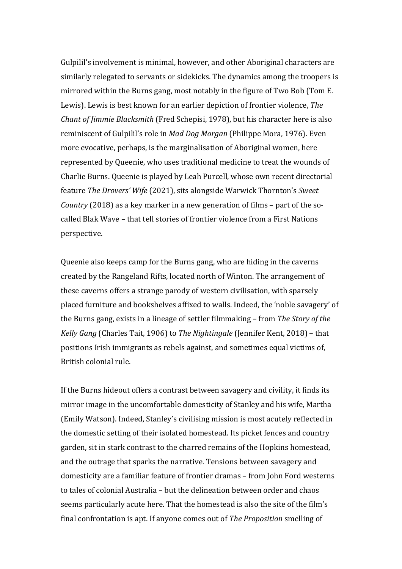Gulpilil's involvement is minimal, however, and other Aboriginal characters are similarly relegated to servants or sidekicks. The dynamics among the troopers is mirrored within the Burns gang, most notably in the figure of Two Bob (Tom E. Lewis). Lewis is best known for an earlier depiction of frontier violence, *The Chant of Jimmie Blacksmith* (Fred Schepisi, 1978), but his character here is also reminiscent of Gulpilil's role in *Mad Dog Morgan* (Philippe Mora, 1976). Even more evocative, perhaps, is the marginalisation of Aboriginal women, here represented by Queenie, who uses traditional medicine to treat the wounds of Charlie Burns. Queenie is played by Leah Purcell, whose own recent directorial feature *The Drovers' Wife* (2021), sits alongside Warwick Thornton's Sweet *Country* (2018) as a key marker in a new generation of films – part of the socalled Blak Wave – that tell stories of frontier violence from a First Nations perspective. 

Queenie also keeps camp for the Burns gang, who are hiding in the caverns created by the Rangeland Rifts, located north of Winton. The arrangement of these caverns offers a strange parody of western civilisation, with sparsely placed furniture and bookshelves affixed to walls. Indeed, the 'noble savagery' of the Burns gang, exists in a lineage of settler filmmaking – from *The Story of the Kelly Gang* (Charles Tait, 1906) to *The Nightingale* (Jennifer Kent, 2018) – that positions Irish immigrants as rebels against, and sometimes equal victims of, British colonial rule.

If the Burns hideout offers a contrast between savagery and civility, it finds its mirror image in the uncomfortable domesticity of Stanley and his wife, Martha (Emily Watson). Indeed, Stanley's civilising mission is most acutely reflected in the domestic setting of their isolated homestead. Its picket fences and country garden, sit in stark contrast to the charred remains of the Hopkins homestead, and the outrage that sparks the narrative. Tensions between savagery and domesticity are a familiar feature of frontier dramas – from John Ford westerns to tales of colonial Australia – but the delineation between order and chaos seems particularly acute here. That the homestead is also the site of the film's final confrontation is apt. If anyone comes out of *The Proposition* smelling of